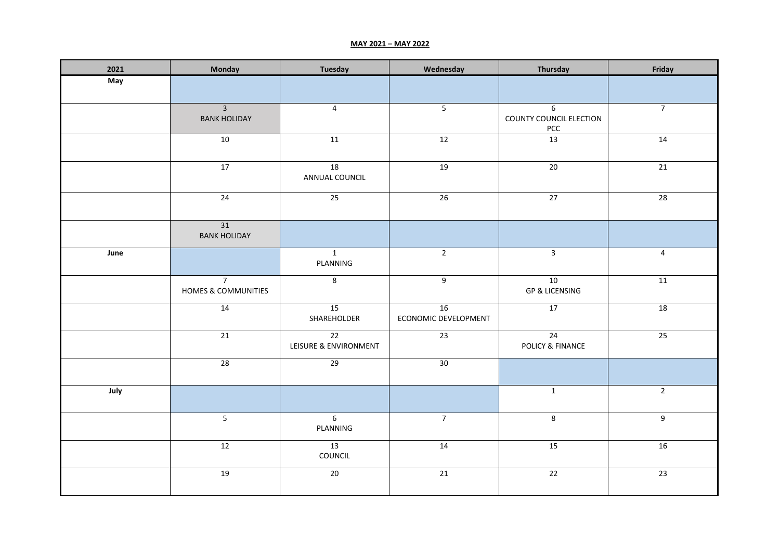## **MAY 2021 – MAY 2022**

| 2021 | Monday                                | <b>Tuesday</b>              | Wednesday                  | Thursday                                  | Friday          |
|------|---------------------------------------|-----------------------------|----------------------------|-------------------------------------------|-----------------|
| May  |                                       |                             |                            |                                           |                 |
|      | $\overline{3}$<br><b>BANK HOLIDAY</b> | $\overline{4}$              | $\overline{\mathbf{5}}$    | $6\,$<br>COUNTY COUNCIL ELECTION<br>$PCC$ | $\overline{7}$  |
|      | 10                                    | 11                          | 12                         | 13                                        | $\overline{14}$ |
|      | 17                                    | 18<br>ANNUAL COUNCIL        | 19                         | $20\,$                                    | 21              |
|      | 24                                    | $\overline{25}$             | 26                         | 27                                        | 28              |
|      | 31<br><b>BANK HOLIDAY</b>             |                             |                            |                                           |                 |
| June |                                       | $\mathbf{1}$<br>PLANNING    | $\overline{2}$             | $\overline{3}$                            | $\overline{4}$  |
|      | $\overline{7}$<br>HOMES & COMMUNITIES | $\bf 8$                     | $\overline{9}$             | 10<br><b>GP &amp; LICENSING</b>           | 11              |
|      | 14                                    | 15<br>SHAREHOLDER           | 16<br>ECONOMIC DEVELOPMENT | 17                                        | 18              |
|      | 21                                    | 22<br>LEISURE & ENVIRONMENT | 23                         | 24<br><b>POLICY &amp; FINANCE</b>         | 25              |
|      | 28                                    | 29                          | 30                         |                                           |                 |
| July |                                       |                             |                            | $\overline{1}$                            | $\overline{2}$  |
|      | $\overline{5}$                        | $6\overline{6}$<br>PLANNING | $\overline{7}$             | 8                                         | $\overline{9}$  |
|      | 12                                    | 13<br>COUNCIL               | 14                         | 15                                        | 16              |
|      | 19                                    | 20                          | 21                         | 22                                        | $\overline{23}$ |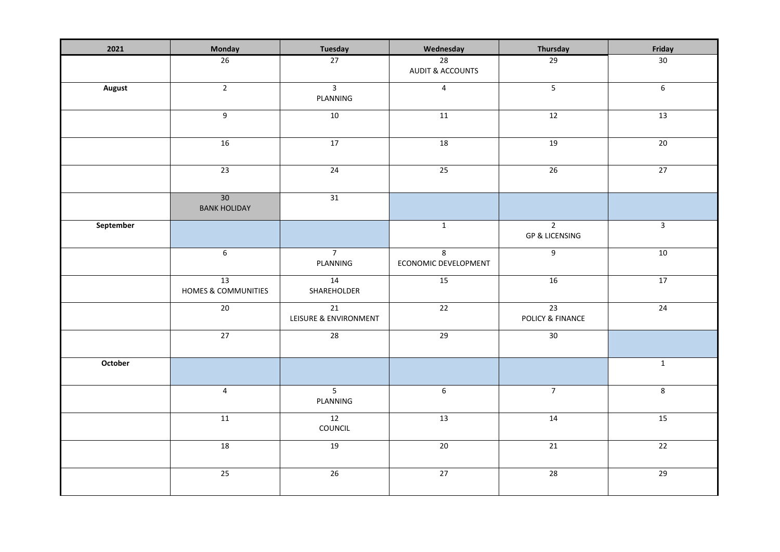| 2021          | Monday                                 | <b>Tuesday</b>              | Wednesday                         | Thursday                                    | Friday                  |
|---------------|----------------------------------------|-----------------------------|-----------------------------------|---------------------------------------------|-------------------------|
|               | 26                                     | 27                          | 28<br><b>AUDIT &amp; ACCOUNTS</b> | 29                                          | 30 <sup>°</sup>         |
| <b>August</b> | $\overline{2}$                         | $\overline{3}$<br>PLANNING  | $\overline{4}$                    | $\overline{5}$                              | $\overline{6}$          |
|               | $\overline{9}$                         | 10                          | 11                                | 12                                          | 13                      |
|               | 16                                     | 17                          | 18                                | 19                                          | 20                      |
|               | 23                                     | 24                          | 25                                | 26                                          | $\overline{27}$         |
|               | 30 <sup>°</sup><br><b>BANK HOLIDAY</b> | 31                          |                                   |                                             |                         |
| September     |                                        |                             | $\mathbf{1}$                      | $\overline{2}$<br><b>GP &amp; LICENSING</b> | $\overline{3}$          |
|               | $\overline{6}$                         | $\overline{7}$<br>PLANNING  | 8<br>ECONOMIC DEVELOPMENT         | $\overline{9}$                              | 10                      |
|               | 13<br>HOMES & COMMUNITIES              | 14<br>SHAREHOLDER           | $\overline{15}$                   | 16                                          | 17                      |
|               | $20\,$                                 | 21<br>LEISURE & ENVIRONMENT | 22                                | 23<br>POLICY & FINANCE                      | $\overline{24}$         |
|               | 27                                     | 28                          | 29                                | 30 <sup>2</sup>                             |                         |
| October       |                                        |                             |                                   |                                             | $\mathbf{1}$            |
|               | $\overline{4}$                         | $\overline{5}$<br>PLANNING  | $\overline{6}$                    | $\overline{7}$                              | $\overline{\mathbf{8}}$ |
|               | 11                                     | $\overline{12}$<br>COUNCIL  | 13                                | 14                                          | 15                      |
|               | 18                                     | 19                          | 20                                | 21                                          | 22                      |
|               | $\overline{25}$                        | $\overline{26}$             | 27                                | $\overline{28}$                             | 29                      |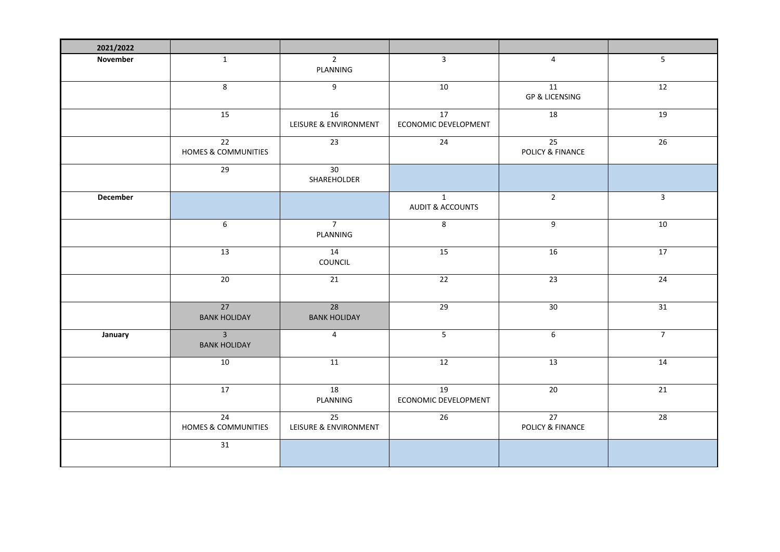| 2021/2022       |                                                   |                                          |                                             |                                                |                |
|-----------------|---------------------------------------------------|------------------------------------------|---------------------------------------------|------------------------------------------------|----------------|
| November        | $\mathbf{1}$                                      | $\overline{2}$<br>PLANNING               | $\overline{3}$                              | $\overline{4}$                                 | 5 <sub>1</sub> |
|                 | $\overline{\mathbf{8}}$                           | $\overline{9}$                           | 10                                          | 11<br><b>GP &amp; LICENSING</b>                | 12             |
|                 | 15                                                | 16<br>LEISURE & ENVIRONMENT              | 17<br>ECONOMIC DEVELOPMENT                  | 18                                             | 19             |
|                 | $\overline{22}$<br><b>HOMES &amp; COMMUNITIES</b> | $\overline{23}$                          | $\overline{24}$                             | 25<br>POLICY & FINANCE                         | 26             |
|                 | 29                                                | 30<br>SHAREHOLDER                        |                                             |                                                |                |
| <b>December</b> |                                                   |                                          | $\mathbf{1}$<br><b>AUDIT &amp; ACCOUNTS</b> | $\overline{2}$                                 | $\mathbf{3}$   |
|                 | 6                                                 | $\overline{7}$<br>PLANNING               | 8                                           | 9                                              | 10             |
|                 | 13                                                | 14<br>COUNCIL                            | 15                                          | 16                                             | 17             |
|                 | 20                                                | 21                                       | 22                                          | 23                                             | 24             |
|                 | $\overline{27}$<br><b>BANK HOLIDAY</b>            | 28<br><b>BANK HOLIDAY</b>                | 29                                          | 30                                             | 31             |
| January         | $\overline{3}$<br><b>BANK HOLIDAY</b>             | $\overline{4}$                           | 5                                           | $6\,$                                          | $\overline{7}$ |
|                 | 10                                                | 11                                       | 12                                          | 13                                             | 14             |
|                 | 17                                                | 18<br>PLANNING                           | 19<br>ECONOMIC DEVELOPMENT                  | $20\,$                                         | 21             |
|                 | 24<br>HOMES & COMMUNITIES                         | $\overline{25}$<br>LEISURE & ENVIRONMENT | $\overline{26}$                             | $\overline{27}$<br><b>POLICY &amp; FINANCE</b> | 28             |
|                 | 31                                                |                                          |                                             |                                                |                |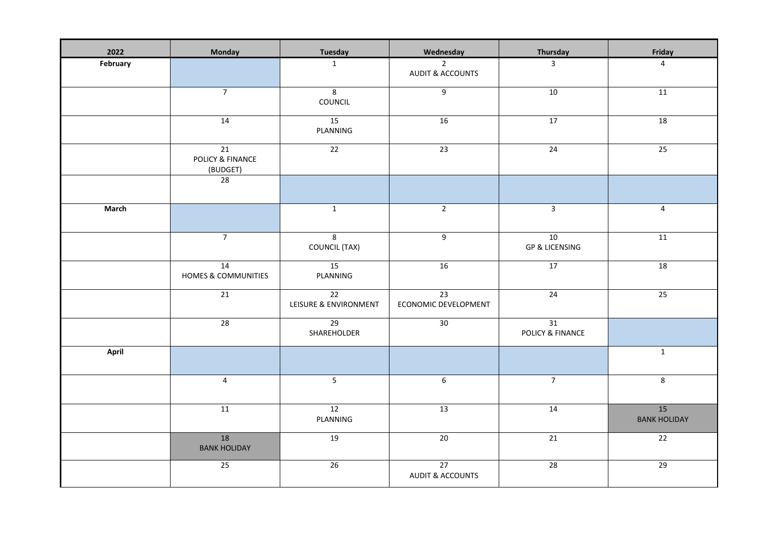| 2022     | Monday                                   | <b>Tuesday</b>                           | Wednesday                                     | Thursday                        | Friday                    |
|----------|------------------------------------------|------------------------------------------|-----------------------------------------------|---------------------------------|---------------------------|
| February |                                          | $\mathbf{1}$                             | $\overline{2}$<br><b>AUDIT &amp; ACCOUNTS</b> | $\overline{3}$                  | $\overline{4}$            |
|          | $\overline{7}$                           | 8<br>COUNCIL                             | $\boldsymbol{9}$                              | 10                              | 11                        |
|          | 14                                       | 15<br>PLANNING                           | 16                                            | 17                              | 18                        |
|          | 21<br>POLICY & FINANCE<br>(BUDGET)<br>28 | 22                                       | 23                                            | 24                              | 25                        |
|          |                                          |                                          |                                               |                                 |                           |
| March    |                                          | $\mathbf{1}$                             | $\overline{2}$                                | $\overline{3}$                  | $\overline{4}$            |
|          | $\overline{7}$                           | 8<br><b>COUNCIL (TAX)</b>                | 9                                             | 10<br><b>GP &amp; LICENSING</b> | $11\,$                    |
|          | 14<br>HOMES & COMMUNITIES                | 15<br>PLANNING                           | 16                                            | 17                              | 18                        |
|          | $\overline{21}$                          | $\overline{22}$<br>LEISURE & ENVIRONMENT | 23<br>ECONOMIC DEVELOPMENT                    | 24                              | $\overline{25}$           |
|          | 28                                       | 29<br>SHAREHOLDER                        | 30                                            | 31<br>POLICY & FINANCE          |                           |
| April    |                                          |                                          |                                               |                                 | $\mathbf{1}$              |
|          | $\overline{4}$                           | $5\overline{)}$                          | 6                                             | $\overline{7}$                  | 8                         |
|          | 11                                       | $\overline{12}$<br>PLANNING              | 13                                            | 14                              | 15<br><b>BANK HOLIDAY</b> |
|          | 18<br><b>BANK HOLIDAY</b>                | 19                                       | 20                                            | 21                              | 22                        |
|          | 25                                       | 26                                       | 27<br><b>AUDIT &amp; ACCOUNTS</b>             | 28                              | 29                        |